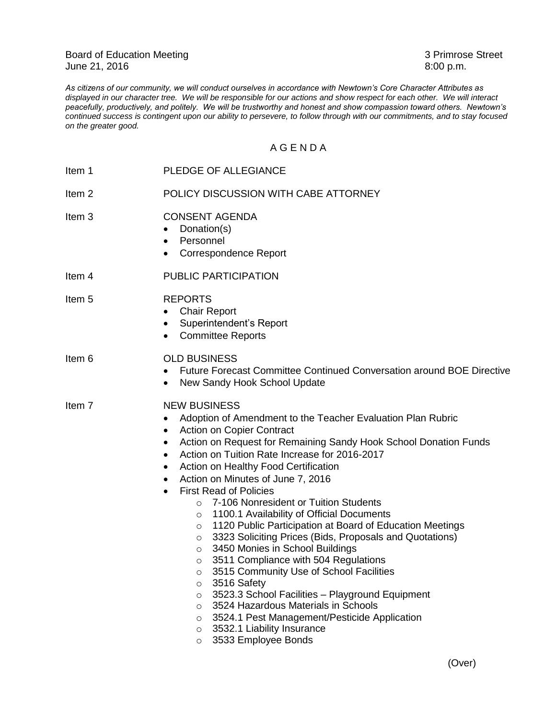Board of Education Meeting<br>
June 21, 2016<br>
3 Primrose Street<br>
3 Primrose Street<br>
3 Primrose Street June 21, 2016

*As citizens of our community, we will conduct ourselves in accordance with Newtown's Core Character Attributes as displayed in our character tree. We will be responsible for our actions and show respect for each other. We will interact peacefully, productively, and politely. We will be trustworthy and honest and show compassion toward others. Newtown's continued success is contingent upon our ability to persevere, to follow through with our commitments, and to stay focused on the greater good.*

## A G E N D A

| Item 1            | PLEDGE OF ALLEGIANCE                                                                                                                                                                                                                                                                                                                                                                                                                                                                                                                                                                                                                                                                                                                                                                                                                                                                                                                                                                                                                               |
|-------------------|----------------------------------------------------------------------------------------------------------------------------------------------------------------------------------------------------------------------------------------------------------------------------------------------------------------------------------------------------------------------------------------------------------------------------------------------------------------------------------------------------------------------------------------------------------------------------------------------------------------------------------------------------------------------------------------------------------------------------------------------------------------------------------------------------------------------------------------------------------------------------------------------------------------------------------------------------------------------------------------------------------------------------------------------------|
| Item <sub>2</sub> | POLICY DISCUSSION WITH CABE ATTORNEY                                                                                                                                                                                                                                                                                                                                                                                                                                                                                                                                                                                                                                                                                                                                                                                                                                                                                                                                                                                                               |
| Item <sub>3</sub> | <b>CONSENT AGENDA</b><br>Donation(s)<br>Personnel<br>٠<br><b>Correspondence Report</b><br>$\bullet$                                                                                                                                                                                                                                                                                                                                                                                                                                                                                                                                                                                                                                                                                                                                                                                                                                                                                                                                                |
| Item 4            | <b>PUBLIC PARTICIPATION</b>                                                                                                                                                                                                                                                                                                                                                                                                                                                                                                                                                                                                                                                                                                                                                                                                                                                                                                                                                                                                                        |
| Item <sub>5</sub> | <b>REPORTS</b><br><b>Chair Report</b><br>Superintendent's Report<br><b>Committee Reports</b><br>$\bullet$                                                                                                                                                                                                                                                                                                                                                                                                                                                                                                                                                                                                                                                                                                                                                                                                                                                                                                                                          |
| Item 6            | <b>OLD BUSINESS</b><br>Future Forecast Committee Continued Conversation around BOE Directive<br>New Sandy Hook School Update                                                                                                                                                                                                                                                                                                                                                                                                                                                                                                                                                                                                                                                                                                                                                                                                                                                                                                                       |
| Item 7            | <b>NEW BUSINESS</b><br>Adoption of Amendment to the Teacher Evaluation Plan Rubric<br>Action on Copier Contract<br>٠<br>Action on Request for Remaining Sandy Hook School Donation Funds<br>٠<br>Action on Tuition Rate Increase for 2016-2017<br>$\bullet$<br>Action on Healthy Food Certification<br>$\bullet$<br>Action on Minutes of June 7, 2016<br><b>First Read of Policies</b><br>7-106 Nonresident or Tuition Students<br>O<br>1100.1 Availability of Official Documents<br>$\circ$<br>1120 Public Participation at Board of Education Meetings<br>O<br>3323 Soliciting Prices (Bids, Proposals and Quotations)<br>O<br>3450 Monies in School Buildings<br>$\circ$<br>3511 Compliance with 504 Regulations<br>O<br>3515 Community Use of School Facilities<br>O<br>3516 Safety<br>O<br>3523.3 School Facilities - Playground Equipment<br>$\circ$<br>3524 Hazardous Materials in Schools<br>$\circ$<br>3524.1 Pest Management/Pesticide Application<br>$\circ$<br>3532.1 Liability Insurance<br>$\circ$<br>3533 Employee Bonds<br>$\circ$ |